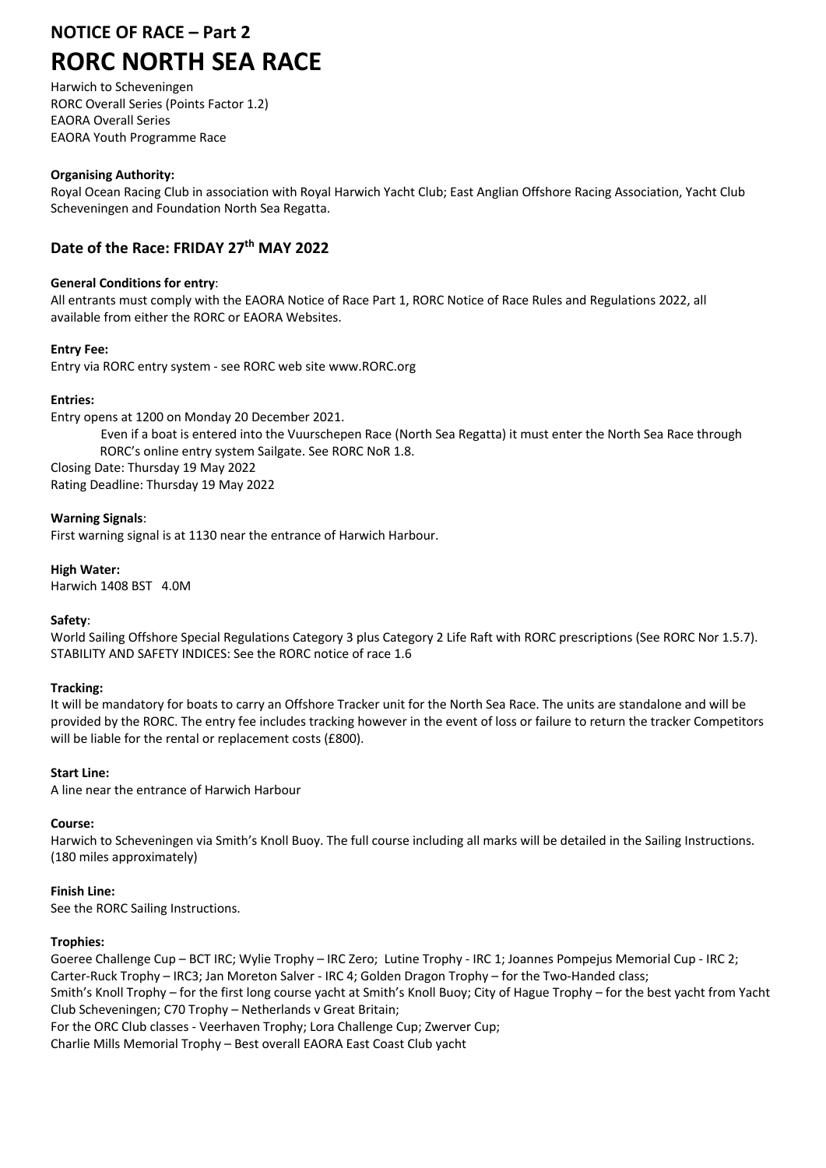# **NOTICE OF RACE – Part 2**

# **RORC NORTH SEA RACE**

Harwich to Scheveningen RORC Overall Series (Points Factor 1.2) EAORA Overall Series EAORA Youth Programme Race

# **Organising Authority:**

Royal Ocean Racing Club in association with Royal Harwich Yacht Club; East Anglian Offshore Racing Association, Yacht Club Scheveningen and Foundation North Sea Regatta.

# **Date of the Race: FRIDAY 27th MAY 2022**

# **General Conditions for entry**:

All entrants must comply with the EAORA Notice of Race Part 1, RORC Notice of Race Rules and Regulations 2022, all available from either the RORC or EAORA Websites.

# **Entry Fee:**

Entry via RORC entry system - see RORC web site www.RORC.org

# **Entries:**

Entry opens at 1200 on Monday 20 December 2021.

Even if a boat is entered into the Vuurschepen Race (North Sea Regatta) it must enter the North Sea Race through RORC's online entry system Sailgate. See RORC NoR 1.8. Closing Date: Thursday 19 May 2022 Rating Deadline: Thursday 19 May 2022

### **Warning Signals**:

First warning signal is at 1130 near the entrance of Harwich Harbour.

### **High Water:**

Harwich 1408 BST 4.0M

# **Safety**:

World Sailing Offshore Special Regulations Category 3 plus Category 2 Life Raft with RORC prescriptions (See RORC Nor 1.5.7). STABILITY AND SAFETY INDICES: See the RORC notice of race 1.6

#### **Tracking:**

It will be mandatory for boats to carry an Offshore Tracker unit for the North Sea Race. The units are standalone and will be provided by the RORC. The entry fee includes tracking however in the event of loss or failure to return the tracker Competitors will be liable for the rental or replacement costs (£800).

# **Start Line:**

A line near the entrance of Harwich Harbour

# **Course:**

Harwich to Scheveningen via Smith's Knoll Buoy. The full course including all marks will be detailed in the Sailing Instructions. (180 miles approximately)

# **Finish Line:**

See the RORC Sailing Instructions.

#### **Trophies:**

Goeree Challenge Cup – BCT IRC; Wylie Trophy – IRC Zero; Lutine Trophy - IRC 1; Joannes Pompejus Memorial Cup - IRC 2; Carter-Ruck Trophy – IRC3; Jan Moreton Salver - IRC 4; Golden Dragon Trophy – for the Two-Handed class; Smith's Knoll Trophy – for the first long course yacht at Smith's Knoll Buoy; City of Hague Trophy – for the best yacht from Yacht Club Scheveningen; C70 Trophy – Netherlands v Great Britain;

For the ORC Club classes - Veerhaven Trophy; Lora Challenge Cup; Zwerver Cup;

Charlie Mills Memorial Trophy – Best overall EAORA East Coast Club yacht